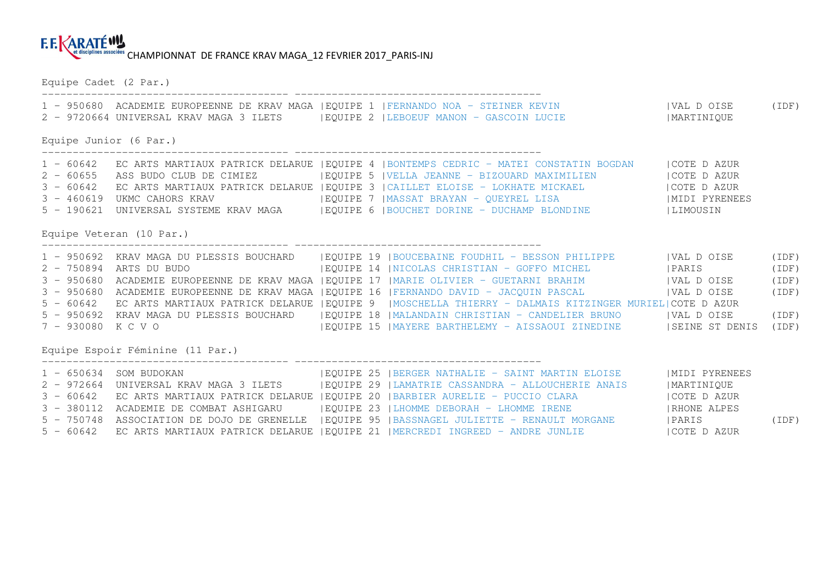## **EEKARATÉWA** et disciplines associées CHAMPIONNAT DE FRANCE KRAV MAGA\_12 FEVRIER 2017 PARIS-INJ

Equipe Cadet (2 Par.) ---------------------------------------- ---------------------------------------- 1 - 950680 ACADEMIE EUROPEENNE DE KRAV MAGA |EQUIPE 1 |FERNANDO NOA - STEINER KEVIN |VAL D OISE (IDF) 2 - 9720664 UNIVERSAL KRAV MAGA 3 ILETS |EQUIPE 2 |LEBOEUF MANON - GASCOIN LUCIE |MARTINIQUE Equipe Junior (6 Par.) ---------------------------------------- ---------------------------------------- 1 - 60642 EC ARTS MARTIAUX PATRICK DELARUE |EQUIPE 4 |BONTEMPS CEDRIC - MATEI CONSTATIN BOGDAN |COTE D AZUR 2 - 60655 ASS BUDO CLUB DE CIMIEZ |EQUIPE 5 |VELLA JEANNE - BIZOUARD MAXIMILIEN |COTE D AZUR 3 - 60642 EC ARTS MARTIAUX PATRICK DELARUE |EQUIPE 3 |CAILLET ELOISE - LOKHATE MICKAEL |COTE D AZUR IMIDI PYRENEES 3 - 460619 UKMC CAHORS KRAV | |EQUIPE 7 | MASSAT BRAYAN - QUEYREL LISA 5 - 190621 UNIVERSAL SYSTEME KRAV MAGA | EQUIPE 6 | BOUCHET DORINE - DUCHAMP BLONDINE | LIMOUSIN Equipe Veteran (10 Par.) ---------------------------------------- ---------------------------------------- 1 - 950692 KRAV MAGA DU PLESSIS BOUCHARD |EQUIPE 19 |BOUCEBAINE FOUDHIL - BESSON PHILIPPE |VAL D OISE (IDF) 2 - 750894 ARTS DU BUDO |EQUIPE 14 |NICOLAS CHRISTIAN - GOFFO MICHEL |PARIS (IDF) 3 - 950680 ACADEMIE EUROPEENNE DE KRAV MAGA |EQUIPE 17 |MARIE OLIVIER - GUETARNI BRAHIM | VAL D OISE | (IDF) | 3 - 950680 ACADEMIE EUROPEENNE DE KRAV MAGA |EQUIPE 16 |FERNANDO DAVID - JACQUIN PASCAL | VAL D OISE | |IDF) | 5 - 60642 EC ARTS MARTIAUX PATRICK DELARUE |EQUIPE 9 |MOSCHELLA THIERRY - DALMAIS KITZINGER MURIEL|COTE D AZUR 5 - 950692 KRAV MAGA DU PLESSIS BOUCHARD |EQUIPE 18 |MALANDAIN CHRISTIAN - CANDELIER BRUNO |VAL D OISE (IDF) 7 - 930080 K C V O | EQUIPE 15 | MAYERE BARTHELEMY - AISSAOUI ZINEDINE | SEINE ST DENIS (IDF) Equipe Espoir Féminine (11 Par.) ---------------------------------------- ---------------------------------------- 1 - 650634 SOM BUDOKAN |EQUIPE 25 |BERGER NATHALIE - SAINT MARTIN ELOISE |MIDI PYRENEES<br>2 - 972664 UNIVERSAL KRAV MAGA 3 ILETS |EQUIPE 29 |LAMATRIE CASSANDRA - ALLOUCHERIE ANAIS

5 - 750748 ASSOCIATION DE DOJO DE GRENELLE |EQUIPE 95 |BASSNAGEL JULIETTE - RENAULT MORGANE |PARIS (IDF)

5 - 60642 EC ARTS MARTIAUX PATRICK DELARUE |EQUIPE 21 |MERCREDI INGREED - ANDRE JUNLIE |COTE D AZUR

3 - 60642 EC ARTS MARTIAUX PATRICK DELARUE |EOUIPE 20 |BARBIER AURELIE - PUCCIO CLARA

3 - 380112 ACADEMIE DE COMBAT ASHIGARU |EQUIPE 23 |LHOMME DEBORAH - LHOMME IRENE |RHONE ALPES

ICOTE D AZUR

**IRHONE ALPES**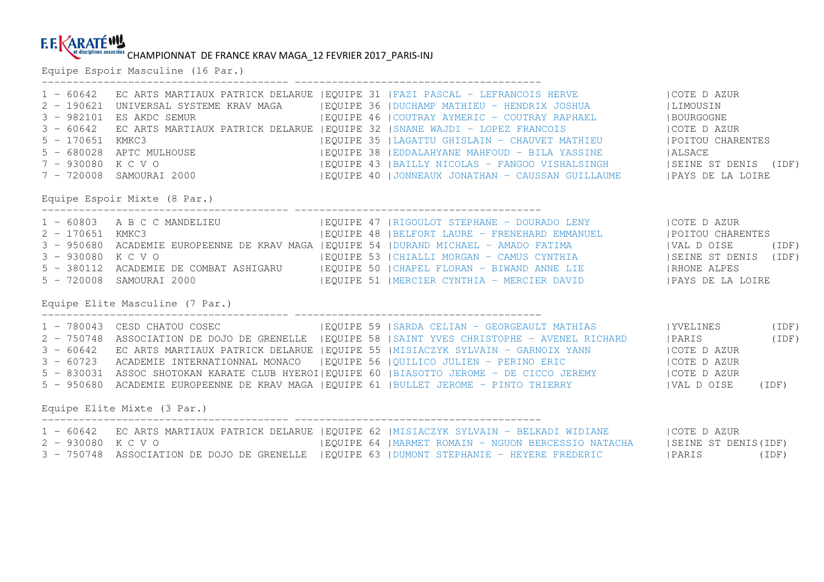## CHAMPIONNAT DE FRANCE KRAV MAGA\_12 FEVRIER 2017\_PARIS-INJ

Equipe Espoir Masculine (16 Par.)

| $1 - 60642$<br>$3 - 60642$<br>7 - 930080 K C V O | 3 - 982101 ES AKDC SEMUR        | EC ARTS MARTIAUX PATRICK DELARUE   EQUIPE 31   FAZI PASCAL - LEFRANCOIS HERVE   COTE D AZUR<br>2 - 190621 UNIVERSAL SYSTEME KRAV MAGA   EQUIPE 36   DUCHAMP MATHIEU - HENDRIX JOSHUA     LIMOUSIN<br>THE KNAV PLACE THIS CONTRACT COURT AND THE RESERVE THAT THE RESERVE THAT THE RESERVE THAT THE RESERVE THAT THE THE RESERVE THAT THE RESERVE THAT THE RESERVE THAT THE RESERVE THAT THE RESERVE THAT THE RESERVE THAT THE RESER<br>EC ARTS MARTIAUX PATRICK DELARUE   EQUIPE 32   SNANE WAJDI - LOPEZ FRANCOIS     COTE D AZUR<br>  EQUIPE 35   LAGATTU GHISLAIN - CHAUVET MATHIEU   POITOU CHARENTES<br>5 - 170651 KMKC3   IEQUIPE 35   AGATTU GHISLAIN - CHAUVET MATHIEU     IPULIUU<br>5 - 680028 APTC MULHOUSE     IEQUIPE 38   EDDALAHYANE MAHFOUD - BILA YASSINE   ALSACE<br>7 - 930080 K C V O                             EQUIPE 43  BAILLY NICOLAS - FANGOO VISHALSINGH         SEINE ST DENIS (IDF)<br>7 - 720008 SAMOURAI 2000             EQUIPE 40  JONNEAUX JONATHAN - CAUSSAN GUILLAUME       PAYS DE |       |
|--------------------------------------------------|---------------------------------|--------------------------------------------------------------------------------------------------------------------------------------------------------------------------------------------------------------------------------------------------------------------------------------------------------------------------------------------------------------------------------------------------------------------------------------------------------------------------------------------------------------------------------------------------------------------------------------------------------------------------------------------------------------------------------------------------------------------------------------------------------------------------------------------------------------------------------------------------------------------------------------------------------------------------------------------------------------------------------------------------------------------------|-------|
|                                                  | Equipe Espoir Mixte (8 Par.)    |                                                                                                                                                                                                                                                                                                                                                                                                                                                                                                                                                                                                                                                                                                                                                                                                                                                                                                                                                                                                                          |       |
|                                                  | 5 - 720008 SAMOURAI 2000        | 1 - 60803 A B C C MANDELIEU (EQUIPE 47   RIGOULOT STEPHANE - DOURADO LENY (COTE D AZUR<br>2 - 170651 KMKC3 (EQUIPE 48   BELFORT LAURE - FRENEHARD EMMANUEL (POITOU CHARENTES<br>3 - 950680 ACADEMIE EUROPEENNE DE KRAV MAGA   EQUIPE 54   DURAND MICHAEL - AMADO FATIMA   VAL DOISE<br>  EQUIPE 51   MERCIER CYNTHIA - MERCIER DAVID   PAYS DE LA LOIRE                                                                                                                                                                                                                                                                                                                                                                                                                                                                                                                                                                                                                                                                  | (IDF) |
|                                                  | Equipe Elite Masculine (7 Par.) |                                                                                                                                                                                                                                                                                                                                                                                                                                                                                                                                                                                                                                                                                                                                                                                                                                                                                                                                                                                                                          |       |
|                                                  |                                 | 1 - 780043 CESD CHATOU COSEC (IDF)   EQUIPE 59   SARDA CELIAN - GEORGEAULT MATHIAS   YVELINES (IDF)<br>2 - 750748 ASSOCIATION DE DOJO DE GRENELLE   EQUIPE 58   SAINT YVES CHRISTOPHE - AVENEL RICHARD   PARIS (IDF)<br>3 - 60642 EC ARTS MARTIAUX PATRICK DELARUE   EQUIPE 55   MISIACZYK SYLVAIN - GARNOIX YANN     COTE D AZUR<br>3 00042 BC ANIS ABANTANA ANALYSI EDENGE (EQUIPE 56  QUILICO JULIEN - PERINO ERIC<br>5 - 830031 ASSOC SHOTOKAN KARATE CLUB HYEROI EQUIPE 60  BIASOTTO JEROME - DE CICCO JEREMY                    <br>5 - 830031 ASSOC SHOTOKAN KARAT<br>5 - 950680 ACADEMIE EUROPEENNE DE KRAV MAGA   EQUIPE 61   BULLET JEROME - PINTO THIERRY     VAL DOISE                                                                                                                                                                                                                                                                                                                                       | (IDF) |
|                                                  | Equipe Elite Mixte (3 Par.)     |                                                                                                                                                                                                                                                                                                                                                                                                                                                                                                                                                                                                                                                                                                                                                                                                                                                                                                                                                                                                                          |       |
|                                                  |                                 | 1 - 60642 EC ARTS MARTIAUX PATRICK DELARUE   EQUIPE 62   MISIACZYK SYLVAIN - BELKADI WIDIANE   COTE D AZUR<br>EQUIPE 64  MARMET ROMAIN - NGUON BERCESSIO NATACHA   SEINE ST DENIS(IDF)<br>3 - 750748 ASSOCIATION DE DOJO DE GRENELLE  EQUIPE 63  DUMONT STEPHANIE - HEYERE FREDERIC    PARIS   (IDF)                                                                                                                                                                                                                                                                                                                                                                                                                                                                                                                                                                                                                                                                                                                     |       |
|                                                  |                                 |                                                                                                                                                                                                                                                                                                                                                                                                                                                                                                                                                                                                                                                                                                                                                                                                                                                                                                                                                                                                                          |       |